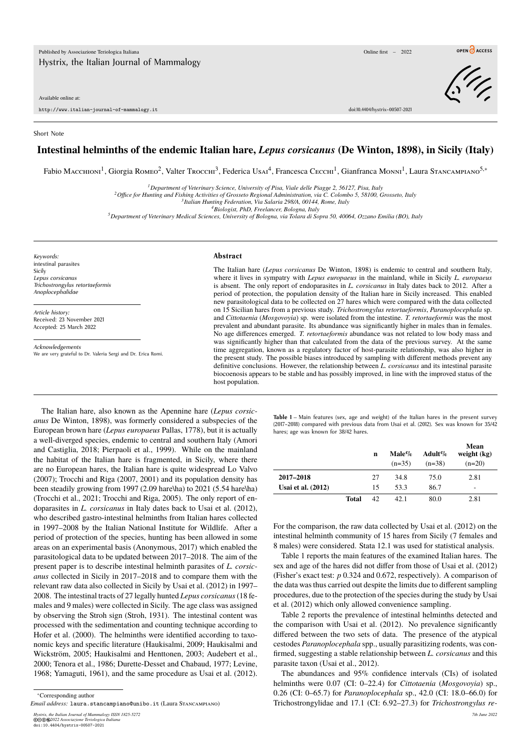Available online at:

http://www.italian-journal-of-mammalogy.it doi:10.4404/hystrix–00507-2021

## Short Note

## **Intestinal helminths of the endemic Italian hare,** *Lepus corsicanus* **(De Winton, 1898), in Sicily (Italy)**

Fabio Масснюм<sup>1</sup>, Giorgia Rомео<sup>2</sup>, Valter Trocchi<sup>3</sup>, Federica Usai<sup>4</sup>, Francesca Сессні<sup>1</sup>, Gianfranca Monni<sup>1</sup>, Laura Stancampiano<sup>5,</sup>\*

*<sup>1</sup>Department of Veterinary Science, University of Pisa, Viale delle Piagge 2, 56127, Pisa, Italy*

*<sup>2</sup>Office for Hunting and Fishing Activities of Grosseto Regional Administration, via C. Colombo 5, 58100, Grosseto, Italy*

*3 Italian Hunting Federation, Via Salaria 298/A, 00144, Rome, Italy*

*<sup>4</sup>Biologist, PhD, Freelancer, Bologna, Italy*

*<sup>5</sup>Department of Veterinary Medical Sciences, University of Bologna, via Tolara di Sopra 50, 40064, Ozzano Emilia (BO), Italy*

*Keywords:* intestinal parasites Sicily *Lepus corsicanus Trichostrongylus retortaeformis Anoplocephalidae*

*Article history:* Received: 23 November 2021 Accepted: 25 March 2022

*Acknowledgements* We are very grateful to Dr. Valeria Sergi and Dr. Erica Romi.

## **Abstract**

The Italian hare (*Lepus corsicanus* De Winton, 1898) is endemic to central and southern Italy, where it lives in sympatry with *Lepus europaeus* in the mainland, while in Sicily *L. europaeus* is absent. The only report of endoparasites in *L. corsicanus* in Italy dates back to 2012. After a period of protection, the population density of the Italian hare in Sicily increased. This enabled new parasitological data to be collected on 27 hares which were compared with the data collected on 15 Sicilian hares from a previous study. *Trichostrongylus retortaeformis*, *Paranoplocephala* sp. and *Cittotaenia* (*Mosgovoyia*) sp. were isolated from the intestine. *T. retortaeformis* was the most prevalent and abundant parasite. Its abundance was significantly higher in males than in females. No age differences emerged. *T. retortaeformis* abundance was not related to low body mass and was significantly higher than that calculated from the data of the previous survey. At the same time aggregation, known as a regulatory factor of host-parasite relationship, was also higher in the present study. The possible biases introduced by sampling with different methods prevent any definitive conclusions. However, the relationship between *L. corsicanus* and its intestinal parasite biocoenosis appears to be stable and has possibly improved, in line with the improved status of the host population.

The Italian hare, also known as the Apennine hare (*Lepus corsicanus* De Winton, 1898), was formerly considered a subspecies of the European brown hare (*Lepus europaeus* Pallas, 1778), but it is actually a well-diverged species, endemic to central and southern Italy (Amori and Castiglia, 2018; Pierpaoli et al., 1999). While on the mainland the habitat of the Italian hare is fragmented, in Sicily, where there are no European hares, the Italian hare is quite widespread Lo Valvo (2007); Trocchi and Riga (2007, 2001) and its population density has been steadily growing from 1997 (2.09 hare\ha) to 2021 (5.54 hare\ha) (Trocchi et al., 2021; Trocchi and Riga, 2005). The only report of endoparasites in *L. corsicanus* in Italy dates back to Usai et al. (2012), who described gastro-intestinal helminths from Italian hares collected in 1997–2008 by the Italian National Institute for Wildlife. After a period of protection of the species, hunting has been allowed in some areas on an experimental basis (Anonymous, 2017) which enabled the parasitological data to be updated between 2017–2018. The aim of the present paper is to describe intestinal helminth parasites of *L. corsicanus* collected in Sicily in 2017–2018 and to compare them with the relevant raw data also collected in Sicily by Usai et al. (2012) in 1997– 2008. The intestinal tracts of 27 legally hunted *Lepus corsicanus*(18 females and 9 males) were collected in Sicily. The age class was assigned by observing the Stroh sign (Stroh, 1931). The intestinal content was processed with the sedimentation and counting technique according to Hofer et al. (2000). The helminths were identified according to taxonomic keys and specific literature (Haukisalmi, 2009; Haukisalmi and Wickström, 2005; Haukisalmi and Henttonen, 2003; Audebert et al., 2000; Tenora et al., 1986; Durette-Desset and Chabaud, 1977; Levine, 1968; Yamaguti, 1961), and the same procedure as Usai et al. (2012).

*Email address:* laura.stancampiano@unibo.it (Laura Stancampiano)

*Hystrix, the Italian Journal of Mammalogy ISSN 1825-5272 7th June 2022* ©cbe*2022 Associazione Teriologica Italiana*

doi:10.4404/hystrix–00507-2021

**Table 1** – Main features (sex, age and weight) of the Italian hares in the present survey (2017–2018) compared with previous data from Usai et al. (2012). Sex was known for 35/42 hares; age was known for 38/42 hares.

|                    |              | n  | $\mathbf{Male} \%$<br>$(n=35)$ | Adult%<br>$(n=38)$ | Mean<br>weight $(kg)$<br>$(n=20)$ |
|--------------------|--------------|----|--------------------------------|--------------------|-----------------------------------|
| 2017-2018          |              | 27 | 34.8                           | 75.0               | 2.81                              |
| Usai et al. (2012) |              | 15 | 53.3                           | 86.7               | ۰                                 |
|                    | <b>Total</b> | 42 | 42.1                           | 80.0               | 2.81                              |

For the comparison, the raw data collected by Usai et al. (2012) on the intestinal helminth community of 15 hares from Sicily (7 females and 8 males) were considered. Stata 12.1 was used for statistical analysis.

Table 1 reports the main features of the examined Italian hares. The sex and age of the hares did not differ from those of Usai et al. (2012) (Fisher's exact test: *p* 0.324 and 0.672, respectively). A comparison of the data was thus carried out despite the limits due to different sampling procedures, due to the protection of the species during the study by Usai et al. (2012) which only allowed convenience sampling.

Table 2 reports the prevalence of intestinal helminths detected and the comparison with Usai et al. (2012). No prevalence significantly differed between the two sets of data. The presence of the atypical cestodes *Paranoplocephala* spp., usually parasitizing rodents, was confirmed, suggesting a stable relationship between *L. corsicanus* and this parasite taxon (Usai et al., 2012).

The abundances and 95% confidence intervals (CIs) of isolated helminths were 0.07 (CI: 0–22.4) for *Cittotaenia* (*Mosgovoyia*) sp., 0.26 (CI: 0–65.7) for *Paranoplocephala* sp., 42.0 (CI: 18.0–66.0) for Trichostrongylidae and 17.1 (CI: 6.92–27.3) for *Trichostrongylus re-*

<sup>∗</sup>Corresponding author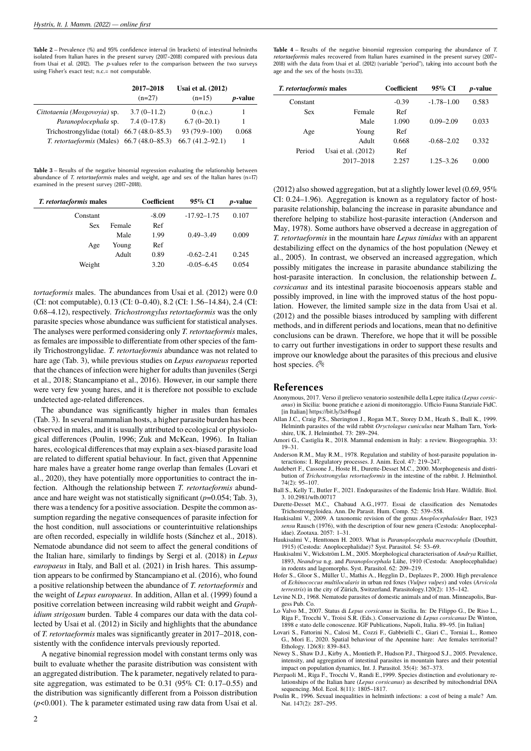**Table 2** – Prevalence (%) and 95% confidence interval (in brackets) of intestinal helminths isolated from Italian hares in the present survey (2017–2018) compared with previous data from Usai et al. (2012). The *p*-values refer to the comparison between the two surveys using Fisher's exact test; n.c.= not computable.

|                                                     | 2017-2018           | Usai et al. $(2012)$ |                 |
|-----------------------------------------------------|---------------------|----------------------|-----------------|
|                                                     | $(n=27)$            | $(n=15)$             | <i>p</i> -value |
| Cittotaenia (Mosgovoyia) sp.                        | $3.7(0-11.2)$       | 0(n.c.)              |                 |
| Paranoplocephala sp.                                | $7.4(0-17.8)$       | $6.7(0-20.1)$        |                 |
| Trichostrongylidae (total)                          | $66.7(48.0 - 85.3)$ | 93 (79.9-100)        | 0.068           |
| <i>T. retortaeformis</i> (Males) $66.7$ (48.0–85.3) |                     | $66.7(41.2 - 92.1)$  |                 |

**Table 3** – Results of the negative binomial regression evaluating the relationship between abundance of *T. retortaeformis* males and weight, age and sex of the Italian hares (n=17) examined in the present survey (2017–2018).

| <i>T. retortaeformis</i> males |        | Coefficient | 95% CI          | <i>p</i> -value |
|--------------------------------|--------|-------------|-----------------|-----------------|
| Constant                       |        | $-8.09$     | $-17.92 - 1.75$ | 0.107           |
| Sex                            | Female | Ref         |                 |                 |
|                                | Male   | 1.99        | $0.49 - 3.49$   | 0.009           |
| Age                            | Young  | Ref         |                 |                 |
|                                | Adult  | 0.89        | $-0.62 - 2.41$  | 0.245           |
| Weight                         |        | 3.20        | $-0.05 - 6.45$  | 0.054           |
|                                |        |             |                 |                 |

*tortaeformis* males. The abundances from Usai et al. (2012) were 0.0 (CI: not computable), 0.13 (CI: 0–0.40), 8.2 (CI: 1.56–14.84), 2.4 (CI: 0.68–4.12), respectively. *Trichostrongylus retortaeformis* was the only parasite species whose abundance was sufficient for statistical analyses. The analyses were performed considering only *T. retortaeformis* males, as females are impossible to differentiate from other species of the family Trichostrongylidae. *T. retortaeformis* abundance was not related to hare age (Tab. 3), while previous studies on *Lepus europaeus* reported that the chances of infection were higher for adults than juveniles (Sergi et al., 2018; Stancampiano et al., 2016). However, in our sample there were very few young hares, and it is therefore not possible to exclude undetected age-related differences.

The abundance was significantly higher in males than females (Tab. 3). In several mammalian hosts, a higher parasite burden has been observed in males, and it is usually attributed to ecological or physiological differences (Poulin, 1996; Zuk and McKean, 1996). In Italian hares, ecological differences that may explain a sex-biased parasite load are related to different spatial behaviour. In fact, given that Appennine hare males have a greater home range overlap than females (Lovari et al., 2020), they have potentially more opportunities to contract the infection. Although the relationship between *T. retortaeformis* abundance and hare weight was not statistically significant (*p*=0.054; Tab. 3), there was a tendency for a positive association. Despite the common assumption regarding the negative consequences of parasite infection for the host condition, null associations or counterintuitive relationships are often recorded, especially in wildlife hosts (Sánchez et al., 2018). Nematode abundance did not seem to affect the general conditions of the Italian hare, similarly to findings by Sergi et al. (2018) in *Lepus europaeus* in Italy, and Ball et al. (2021) in Irish hares. This assumption appears to be confirmed by Stancampiano et al. (2016), who found a positive relationship between the abundance of *T. retortaeformis* and the weight of *Lepus europaeus*. In addition, Allan et al. (1999) found a positive correlation between increasing wild rabbit weight and *Graphidium strigosum* burden. Table 4 compares our data with the data collected by Usai et al. (2012) in Sicily and highlights that the abundance of *T. retortaeformis* males was significantly greater in 2017–2018, consistently with the confidence intervals previously reported.

A negative binomial regression model with constant terms only was built to evaluate whether the parasite distribution was consistent with an aggregated distribution. The k parameter, negatively related to parasite aggregation, was estimated to be 0.31 (95% CI: 0.17–0.55) and the distribution was significantly different from a Poisson distribution  $(p<0.001)$ . The k parameter estimated using raw data from Usai et al.

| T. retortaeformis males |                    | Coefficient | 95% CI         | <i>p</i> -value |
|-------------------------|--------------------|-------------|----------------|-----------------|
| Constant                |                    | $-0.39$     | $-1.78 - 1.00$ | 0.583           |
| <b>Sex</b>              | Female             | Ref         |                |                 |
|                         | Male               | 1.090       | $0.09 - 2.09$  | 0.033           |
| Age                     | Young              | Ref         |                |                 |
|                         | Adult              | 0.668       | $-0.68 - 2.02$ | 0.332           |
| Period                  | Usai et al. (2012) | Ref         |                |                 |
|                         | 2017-2018          | 2.257       | $1.25 - 3.26$  | 0.000           |

(2012) also showed aggregation, but at a slightly lower level (0.69, 95% CI: 0.24–1.96). Aggregation is known as a regulatory factor of hostparasite relationship, balancing the increase in parasite abundance and therefore helping to stabilize host-parasite interaction (Anderson and May, 1978). Some authors have observed a decrease in aggregation of *T. retortaeformis* in the mountain hare *Lepus timidus* with an apparent destabilizing effect on the dynamics of the host population (Newey et al., 2005). In contrast, we observed an increased aggregation, which possibly mitigates the increase in parasite abundance stabilizing the host-parasite interaction. In conclusion, the relationship between *L. corsicanus* and its intestinal parasite biocoenosis appears stable and possibly improved, in line with the improved status of the host population. However, the limited sample size in the data from Usai et al. (2012) and the possible biases introduced by sampling with different methods, and in different periods and locations, mean that no definitive conclusions can be drawn. Therefore, we hope that it will be possible to carry out further investigations in order to support these results and improve our knowledge about the parasites of this precious and elusive host species.  $\mathcal{C}$ 

## **References**

- Anonymous, 2017. Verso il prelievo venatorio sostenibile della Lepre italica (*Lepus corsicanus*) in Sicilia: buone pratiche e azioni di monitoraggio. Ufficio Fauna Stanziale FidC. [in Italian] https://bit.ly/3sHhsgd
- Allan J.C., Craig P.S., Sherington J., Rogan M.T., Storey D.M., Heath S., Iball K., 1999. Helminth parasites of the wild rabbit *Oryctolagus cuniculus* near Malham Tarn, Yorkshire, UK. J. Helminthol. 73: 289–294.
- Amori G., Castiglia R., 2018. Mammal endemism in Italy: a review. Biogeographia. 33: 19–31.
- Anderson R.M., May R.M., 1978. Regulation and stability of host-parasite population interactions: I. Regulatory processes. J. Anim. Ecol. 47: 219–247.
- Audebert F., Cassone J., Hoste H., Durette-Desset M.C., 2000. Morphogenesis and distribution of *Trichostrongylus retortaeformis* in the intestine of the rabbit. J. Helminthol. 74(2): 95–107.
- Ball S., Kelly T., Butler F., 2021. Endoparasites of the Endemic Irish Hare. Wildlife. Biol. 3. 10.2981/wlb.00717
- Durette-Desset M.C., Chabaud A.G.,1977. Essai de classification des Nematodes Trichostrongyloidea. Ann. De Parasit. Hum. Comp. 52: 539–558.
- Haukisalmi V., 2009. A taxonomic revision of the genus *Anoplocephaloides* Baer, 1923 *sensu* Rausch (1976), with the description of four new genera (Cestoda: Anoplocephalidae). Zootaxa. 2057: 1–31.
- Haukisalmi V., Henttonen H. 2003. What is *Paranoplocephala macrocephala* (Douthitt, 1915) (Cestoda: Anoplocephalidae)? Syst. Parasitol. 54: 53–69.
- Haukisalmi V., Wickström L.M., 2005. Morphological characterisation of *Andrya* Railliet, 1893, *Neandrya* n.g. and *Paranoplocephala* Lühe, 1910 (Cestoda: Anoplocephalidae) in rodents and lagomorphs. Syst. Parasitol. 62: 209–219.
- Hofer S., Gloor S., Müller U., Mathis A., Hegglin D., Deplazes P., 2000. High prevalence of *Echinococcus multilocularis* in urban red foxes (*Vulpes vulpes*) and voles (*Arvicola terrestris*) in the city of Zürich, Switzerland. Parasitology.120(2): 135–142.
- Levine N.D., 1968. Nematode parasites of domestic animals and of man. Minneapolis, Burgess Pub. Co.
- Lo Valvo M., 2007. Status di *Lepus corsicanus* in Sicilia. In: De Filippo G., De Riso L., Riga F., Trocchi V., Troisi S.R. (Eds.). Conservazione di *Lepus corsicanus* De Winton, 1898 e stato delle conoscenze. IGF Publications, Napoli, Italia. 89–95. [in Italian]
- Lovari S., Fattorini N., Calosi M., Cozzi F., Gabbrielli C., Giari C., Torniai L., Romeo G., Mori E., 2020. Spatial behaviour of the Apennine hare: Are females territorial? Ethology. 126(8): 839–843.
- Newey S., Shaw D.J., Kirby A., Montieth P., Hudson P.J., Thirgood S.J., 2005. Prevalence, intensity, and aggregation of intestinal parasites in mountain hares and their potential impact on population dynamics, Int. J. Parasitol. 35(4): 367–373.
- Pierpaoli M., Riga F., Trocchi V., Randi E.,1999. Species distinction and evolutionary relationships of the Italian hare (*Lepus corsicanus*) as described by mitochondrial DNA sequencing. Mol. Ecol. 8(11): 1805–1817.
- Poulin R., 1996. Sexual inequalities in helminth infections: a cost of being a male? Am. Nat. 147(2): 287–295.